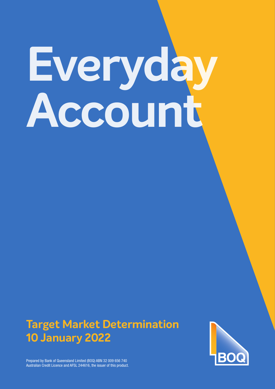# **Everyday Account**

# **Target Market Determination 10 January 2022**



Prepared by Bank of Queensland Limited (BOQ) ABN 32 009 656 740 Australian Credit Licence and AFSL 244616, the issuer of this product.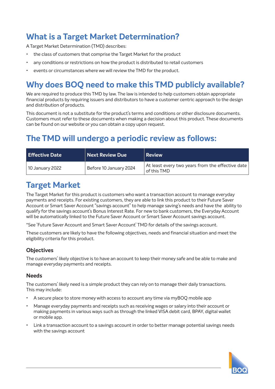# **What is a Target Market Determination?**

A Target Market Determination (TMD) describes:

- the class of customers that comprise the Target Market for the product
- any conditions or restrictions on how the product is distributed to retail customers
- events or circumstances where we will review the TMD for the product.

# **Why does BOQ need to make this TMD publicly available?**

We are required to produce this TMD by law. The law is intended to help customers obtain appropriate financial products by requiring issuers and distributors to have a customer centric approach to the design and distribution of products.

This document is not a substitute for the product's terms and conditions or other disclosure documents. Customers must refer to these documents when making a decision about this product. These documents can be found on our website or you can obtain a copy upon request.

# **The TMD will undergo a periodic review as follows:**

| <b>Effective Date</b> | Next Review Due        | <b>Review</b>                                                   |
|-----------------------|------------------------|-----------------------------------------------------------------|
| 10 January 2022       | Before 10 January 2024 | At least every two years from the effective date<br>of this TMD |

## **Target Market**

The Target Market for this product is customers who want a transaction account to manage everyday payments and receipts. For existing customers, they are able to link this product to their Future Saver Account or Smart Saver Account "savings account" to help manage saving's needs and have the ability to qualify for the savings account's Bonus Interest Rate. For new to bank customers, the Everyday Account will be automatically linked to the Future Saver Account or Smart Saver Account savings account.

\*See 'Future Saver Account and Smart Saver Account' TMD for details of the savings account.

These customers are likely to have the following objectives, needs and financial situation and meet the eligibility criteria for this product.

### **Objectives**

The customers' likely objective is to have an account to keep their money safe and be able to make and manage everyday payments and receipts.

### **Needs**

The customers' likely need is a simple product they can rely on to manage their daily transactions. This may include:

- A secure place to store money with access to account any time via myBOQ mobile app
- Manage everyday payments and receipts such as receiving wages or salary into their account or making payments in various ways such as through the linked VISA debit card, BPAY, digital wallet or mobile app.
- Link a transaction account to a savings account in order to better manage potential savings needs with the savings account

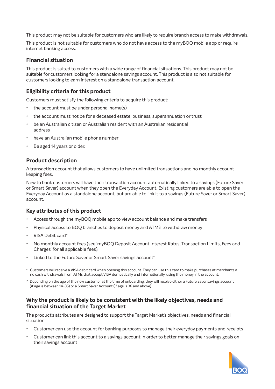This product may not be suitable for customers who are likely to require branch access to make withdrawals.

This product is not suitable for customers who do not have access to the myBOQ mobile app or require internet banking access.

### **Financial situation**

This product is suited to customers with a wide range of financial situations. This product may not be suitable for customers looking for a standalone savings account. This product is also not suitable for customers looking to earn interest on a standalone transaction account.

### **Eligibility criteria for this product**

Customers must satisfy the following criteria to acquire this product:

- the account must be under personal name(s)
- the account must not be for a deceased estate, business, superannuation or trust
- be an Australian citizen or Australian resident with an Australian residential address
- have an Australian mobile phone number
- Be aged 14 years or older.

### **Product description**

A transaction account that allows customers to have unlimited transactions and no monthly account keeping fees.

New to bank customers will have their transaction account automatically linked to a savings (Future Saver or Smart Saver) account when they open the Everyday Account. Existing customers are able to open the Everyday Account as a standalone account, but are able to link it to a savings (Future Saver or Smart Saver) account.

### **Key attributes of this product**

- Access through the myBOQ mobile app to view account balance and make transfers
- Physical access to BOQ branches to deposit money and ATM's to withdraw money
- VISA Debit card\*
- No monthly account fees (see 'myBOQ Deposit Account Interest Rates, Transaction Limits, Fees and Charges' for all applicable fees).
- Linked to the Future Saver or Smart Saver savings account $\hat{ }$
- \* Customers will receive a VISA debit card when opening this account. They can use this card to make purchases at merchants a nd cash withdrawals from ATMs that accept VISA domestically and internationally, using the money in the account.
- ^ Depending on the age of the new customer at the time of onboarding, they will receive either a Future Saver savings account (if age is between 14-35) or a Smart Saver Account (if age is 36 and above)

### **Why the product is likely to be consistent with the likely objectives, needs and financial situation of the Target Market**

The product's attributes are designed to support the Target Market's objectives, needs and financial situation:

- Customer can use the account for banking purposes to manage their everyday payments and receipts
- Customer can link this account to a savings account in order to better manage their savings goals on their savings account